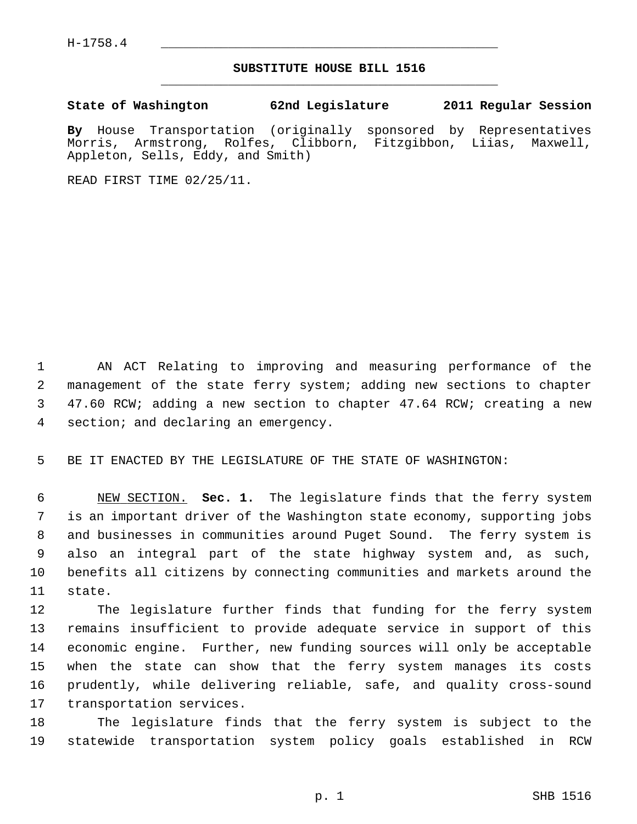$H-1758.4$ 

## **SUBSTITUTE HOUSE BILL 1516** \_\_\_\_\_\_\_\_\_\_\_\_\_\_\_\_\_\_\_\_\_\_\_\_\_\_\_\_\_\_\_\_\_\_\_\_\_\_\_\_\_\_\_\_\_

**State of Washington 62nd Legislature 2011 Regular Session**

**By** House Transportation (originally sponsored by Representatives Morris, Armstrong, Rolfes, Clibborn, Fitzgibbon, Liias, Maxwell, Appleton, Sells, Eddy, and Smith)

READ FIRST TIME 02/25/11.

 1 AN ACT Relating to improving and measuring performance of the 2 management of the state ferry system; adding new sections to chapter 3 47.60 RCW; adding a new section to chapter 47.64 RCW; creating a new 4 section; and declaring an emergency.

5 BE IT ENACTED BY THE LEGISLATURE OF THE STATE OF WASHINGTON:

 6 NEW SECTION. **Sec. 1.** The legislature finds that the ferry system 7 is an important driver of the Washington state economy, supporting jobs 8 and businesses in communities around Puget Sound. The ferry system is 9 also an integral part of the state highway system and, as such, 10 benefits all citizens by connecting communities and markets around the 11 state.

12 The legislature further finds that funding for the ferry system 13 remains insufficient to provide adequate service in support of this 14 economic engine. Further, new funding sources will only be acceptable 15 when the state can show that the ferry system manages its costs 16 prudently, while delivering reliable, safe, and quality cross-sound 17 transportation services.

18 The legislature finds that the ferry system is subject to the 19 statewide transportation system policy goals established in RCW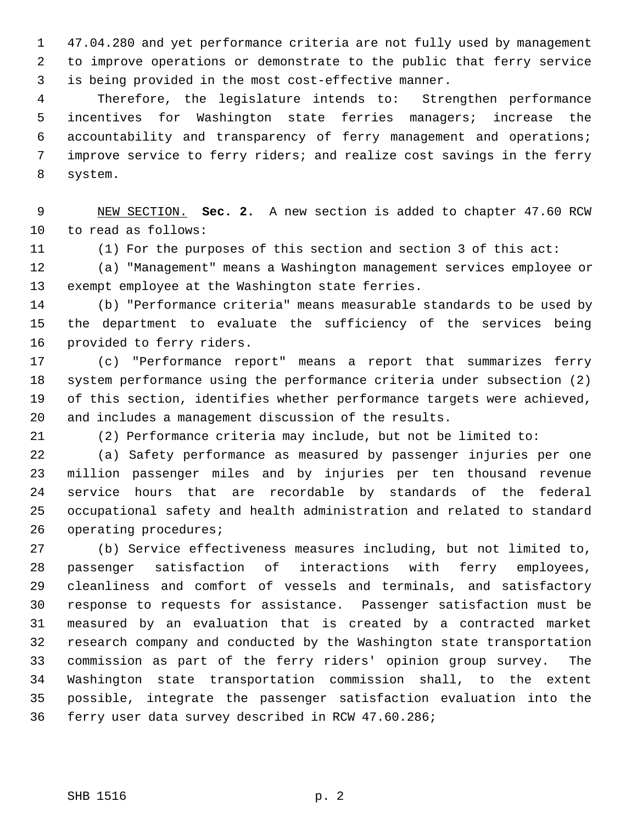1 47.04.280 and yet performance criteria are not fully used by management 2 to improve operations or demonstrate to the public that ferry service 3 is being provided in the most cost-effective manner.

 4 Therefore, the legislature intends to: Strengthen performance 5 incentives for Washington state ferries managers; increase the 6 accountability and transparency of ferry management and operations; 7 improve service to ferry riders; and realize cost savings in the ferry 8 system.

 9 NEW SECTION. **Sec. 2.** A new section is added to chapter 47.60 RCW 10 to read as follows:

11 (1) For the purposes of this section and section 3 of this act:

12 (a) "Management" means a Washington management services employee or 13 exempt employee at the Washington state ferries.

14 (b) "Performance criteria" means measurable standards to be used by 15 the department to evaluate the sufficiency of the services being 16 provided to ferry riders.

17 (c) "Performance report" means a report that summarizes ferry 18 system performance using the performance criteria under subsection (2) 19 of this section, identifies whether performance targets were achieved, 20 and includes a management discussion of the results.

21 (2) Performance criteria may include, but not be limited to:

22 (a) Safety performance as measured by passenger injuries per one 23 million passenger miles and by injuries per ten thousand revenue 24 service hours that are recordable by standards of the federal 25 occupational safety and health administration and related to standard 26 operating procedures;

27 (b) Service effectiveness measures including, but not limited to, 28 passenger satisfaction of interactions with ferry employees, 29 cleanliness and comfort of vessels and terminals, and satisfactory 30 response to requests for assistance. Passenger satisfaction must be 31 measured by an evaluation that is created by a contracted market 32 research company and conducted by the Washington state transportation 33 commission as part of the ferry riders' opinion group survey. The 34 Washington state transportation commission shall, to the extent 35 possible, integrate the passenger satisfaction evaluation into the 36 ferry user data survey described in RCW 47.60.286;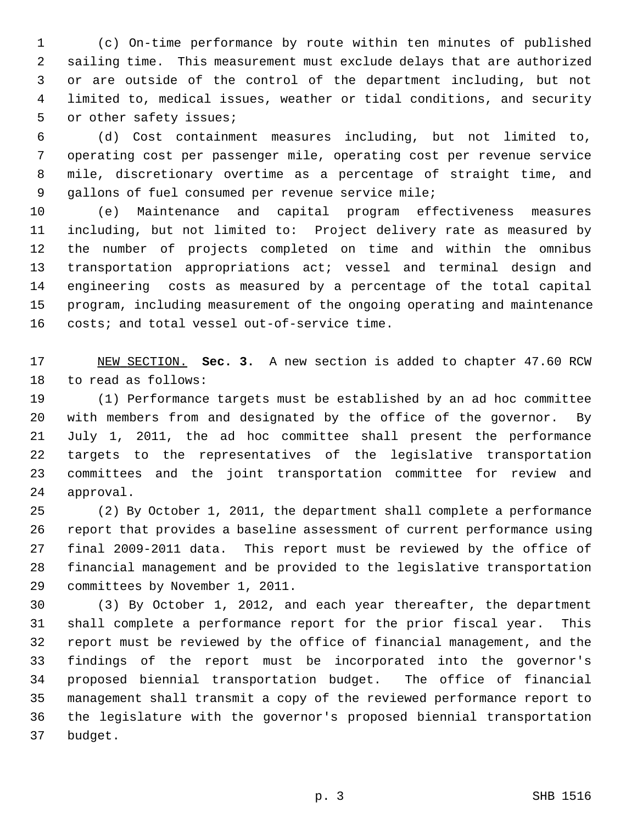1 (c) On-time performance by route within ten minutes of published 2 sailing time. This measurement must exclude delays that are authorized 3 or are outside of the control of the department including, but not 4 limited to, medical issues, weather or tidal conditions, and security 5 or other safety issues;

 6 (d) Cost containment measures including, but not limited to, 7 operating cost per passenger mile, operating cost per revenue service 8 mile, discretionary overtime as a percentage of straight time, and 9 gallons of fuel consumed per revenue service mile;

10 (e) Maintenance and capital program effectiveness measures 11 including, but not limited to: Project delivery rate as measured by 12 the number of projects completed on time and within the omnibus 13 transportation appropriations act; vessel and terminal design and 14 engineering costs as measured by a percentage of the total capital 15 program, including measurement of the ongoing operating and maintenance 16 costs; and total vessel out-of-service time.

17 NEW SECTION. **Sec. 3.** A new section is added to chapter 47.60 RCW 18 to read as follows:

19 (1) Performance targets must be established by an ad hoc committee 20 with members from and designated by the office of the governor. By 21 July 1, 2011, the ad hoc committee shall present the performance 22 targets to the representatives of the legislative transportation 23 committees and the joint transportation committee for review and 24 approval.

25 (2) By October 1, 2011, the department shall complete a performance 26 report that provides a baseline assessment of current performance using 27 final 2009-2011 data. This report must be reviewed by the office of 28 financial management and be provided to the legislative transportation 29 committees by November 1, 2011.

30 (3) By October 1, 2012, and each year thereafter, the department 31 shall complete a performance report for the prior fiscal year. This 32 report must be reviewed by the office of financial management, and the 33 findings of the report must be incorporated into the governor's 34 proposed biennial transportation budget. The office of financial 35 management shall transmit a copy of the reviewed performance report to 36 the legislature with the governor's proposed biennial transportation 37 budget.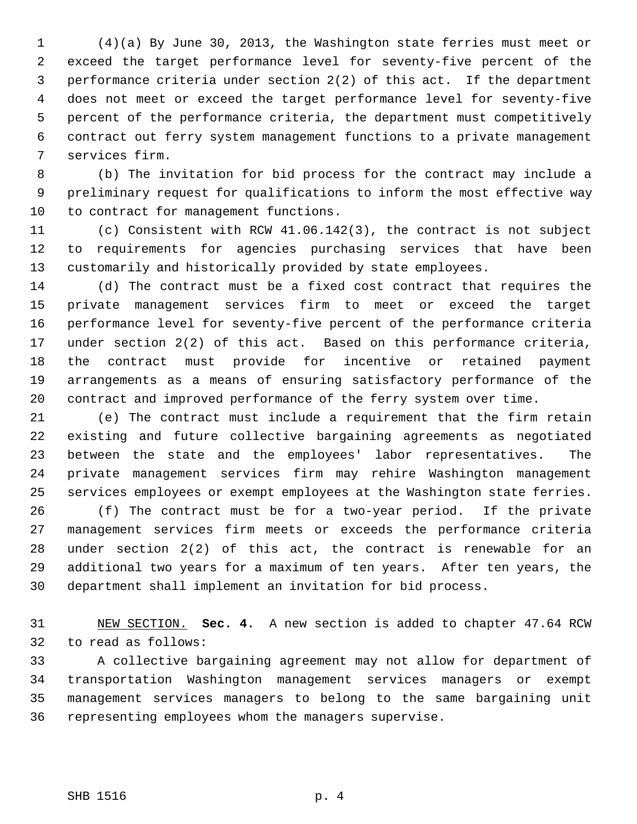1 (4)(a) By June 30, 2013, the Washington state ferries must meet or 2 exceed the target performance level for seventy-five percent of the 3 performance criteria under section 2(2) of this act. If the department 4 does not meet or exceed the target performance level for seventy-five 5 percent of the performance criteria, the department must competitively 6 contract out ferry system management functions to a private management 7 services firm.

 8 (b) The invitation for bid process for the contract may include a 9 preliminary request for qualifications to inform the most effective way 10 to contract for management functions.

11 (c) Consistent with RCW 41.06.142(3), the contract is not subject 12 to requirements for agencies purchasing services that have been 13 customarily and historically provided by state employees.

14 (d) The contract must be a fixed cost contract that requires the 15 private management services firm to meet or exceed the target 16 performance level for seventy-five percent of the performance criteria 17 under section 2(2) of this act. Based on this performance criteria, 18 the contract must provide for incentive or retained payment 19 arrangements as a means of ensuring satisfactory performance of the 20 contract and improved performance of the ferry system over time.

21 (e) The contract must include a requirement that the firm retain 22 existing and future collective bargaining agreements as negotiated 23 between the state and the employees' labor representatives. The 24 private management services firm may rehire Washington management 25 services employees or exempt employees at the Washington state ferries.

26 (f) The contract must be for a two-year period. If the private 27 management services firm meets or exceeds the performance criteria 28 under section 2(2) of this act, the contract is renewable for an 29 additional two years for a maximum of ten years. After ten years, the 30 department shall implement an invitation for bid process.

31 NEW SECTION. **Sec. 4.** A new section is added to chapter 47.64 RCW 32 to read as follows:

33 A collective bargaining agreement may not allow for department of 34 transportation Washington management services managers or exempt 35 management services managers to belong to the same bargaining unit 36 representing employees whom the managers supervise.